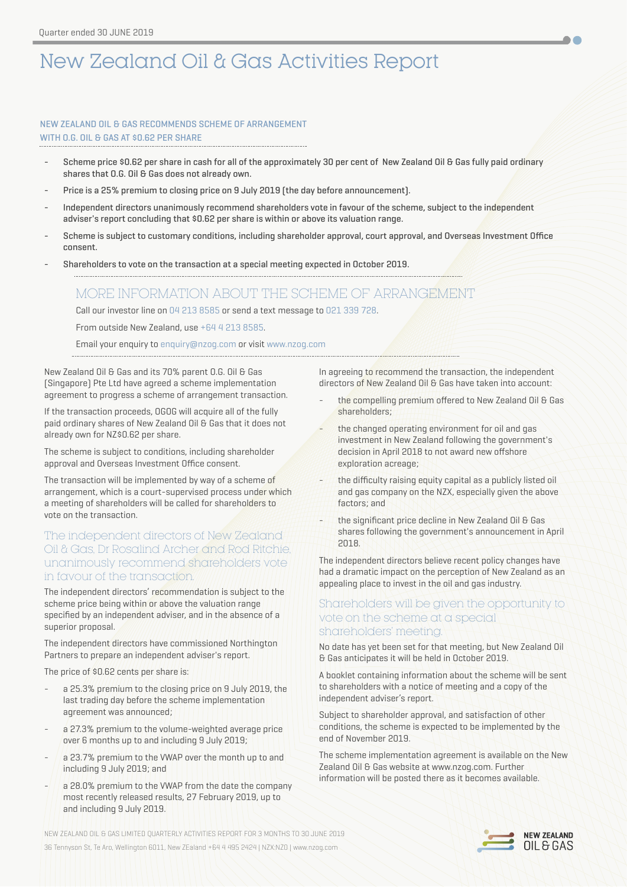# New Zealand Oil & Gas Activities Report

## NEW ZEALAND OIL & GAS RECOMMENDS SCHEME OF ARRANGEMENT WITH O.G. OIL & GAS AT \$0.62 PER SHARE

- Scheme price \$0.62 per share in cash for all of the approximately 30 per cent of New Zealand Oil & Gas fully paid ordinary shares that O.G. Oil & Gas does not already own.
- Price is a 25% premium to closing price on 9 July 2019 (the day before announcement).
- Independent directors unanimously recommend shareholders vote in favour of the scheme, subject to the independent adviser's report concluding that \$0.62 per share is within or above its valuation range.
- Scheme is subject to customary conditions, including shareholder approval, court approval, and Overseas Investment Office consent.
- Shareholders to vote on the transaction at a special meeting expected in October 2019.

## MORE INFORMATION ABOUT THE SCHEME OF ARRANGEMENT

Call our investor line on 04 213 8585 or send a text message to 021 339 728.

From outside New Zealand, use +64 4 213 8585.

Email your enquiry to enquiry@nzog.com or visit www.nzog.com

New Zealand Oil & Gas and its 70% parent O.G. Oil & Gas (Singapore) Pte Ltd have agreed a scheme implementation agreement to progress a scheme of arrangement transaction.

If the transaction proceeds, OGOG will acquire all of the fully paid ordinary shares of New Zealand Oil & Gas that it does not already own for NZ\$0.62 per share.

The scheme is subject to conditions, including shareholder approval and Overseas Investment Office consent.

The transaction will be implemented by way of a scheme of arrangement, which is a court-supervised process under which a meeting of shareholders will be called for shareholders to vote on the transaction.

## The independent directors of New Zealand Oil & Gas, Dr Rosalind Archer and Rod Ritchie, unanimously recommend shareholders vote in favour of the transaction.

The independent directors' recommendation is subject to the scheme price being within or above the valuation range specified by an independent adviser, and in the absence of a superior proposal.

The independent directors have commissioned Northington Partners to prepare an independent adviser's report.

The price of \$0.62 cents per share is:

- a 25.3% premium to the closing price on 9 July 2019, the last trading day before the scheme implementation agreement was announced;
- a 27.3% premium to the volume-weighted average price over 6 months up to and including 9 July 2019;
- a 23.7% premium to the VWAP over the month up to and including 9 July 2019; and
- a 28.0% premium to the VWAP from the date the company most recently released results, 27 February 2019, up to and including 9 July 2019.

In agreeing to recommend the transaction, the independent directors of New Zealand Oil & Gas have taken into account:

 $\bullet$ 

- the compelling premium offered to New Zealand Oil & Gas shareholders;
- the changed operating environment for oil and gas investment in New Zealand following the government's decision in April 2018 to not award new offshore exploration acreage;
- the difficulty raising equity capital as a publicly listed oil and gas company on the NZX, especially given the above factors; and
- the significant price decline in New Zealand Oil & Gas shares following the government's announcement in April 2018.

The independent directors believe recent policy changes have had a dramatic impact on the perception of New Zealand as an appealing place to invest in the oil and gas industry.

## Shareholders will be given the opportunity to vote on the scheme at a special shareholders' meeting.

No date has yet been set for that meeting, but New Zealand Oil & Gas anticipates it will be held in October 2019.

A booklet containing information about the scheme will be sent to shareholders with a notice of meeting and a copy of the independent adviser's report.

Subject to shareholder approval, and satisfaction of other conditions, the scheme is expected to be implemented by the end of November 2019.

The scheme implementation agreement is available on the New Zealand Oil & Gas website at [www.nzog.com](http://www.nzog.com). Further information will be posted there as it becomes available.

NEW ZEALAND OIL & GAS LIMITED QUARTERLY ACTIVITIES REPORT FOR 3 MONTHS TO 30 JUNE 2019 36 Tennyson St, Te Aro, Wellington 6011, New ZEaland +64 4 495 2424 | NZX:NZO | [www.nzog.com](http://www.nzog.com)

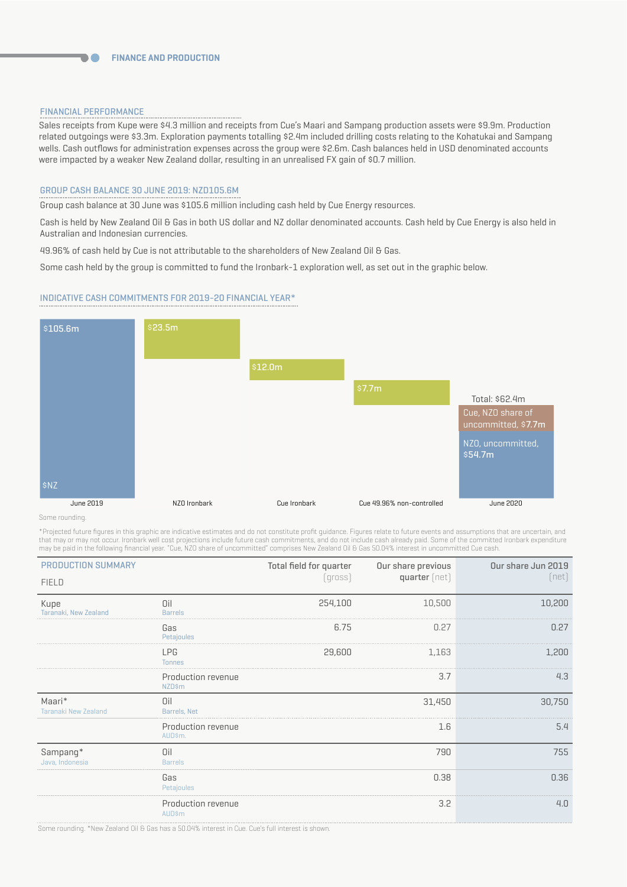#### FINANCIAL PERFORMANCE

 $\blacksquare$ 

Sales receipts from Kupe were \$4.3 million and receipts from Cue's Maari and Sampang production assets were \$9.9m. Production related outgoings were \$3.3m. Exploration payments totalling \$2.4m included drilling costs relating to the Kohatukai and Sampang wells. Cash outflows for administration expenses across the group were \$2.6m. Cash balances held in USD denominated accounts were impacted by a weaker New Zealand dollar, resulting in an unrealised FX gain of \$0.7 million.

#### GROUP CASH BALANCE 30 JUNE 2019: NZD105.6M

Group cash balance at 30 June was \$105.6 million including cash held by Cue Energy resources.

Cash is held by New Zealand Oil & Gas in both US dollar and NZ dollar denominated accounts. Cash held by Cue Energy is also held in Australian and Indonesian currencies.

49.96% of cash held by Cue is not attributable to the shareholders of New Zealand Oil & Gas.

Some cash held by the group is committed to fund the Ironbark-1 exploration well, as set out in the graphic below.

#### INDICATIVE CASH COMMITMENTS FOR 2019-20 FINANCIAL YEAR\*



Some rounding.

\*Projected future figures in this graphic are indicative estimates and do not constitute profit guidance. Figures relate to future events and assumptions that are uncertain, and that may or may not occur. Ironbark well cost projections include future cash commitments, and do not include cash already paid. Some of the committed Ironbark expenditure may be paid in the following financial year. "Cue, NZO share of uncommitted" comprises New Zealand Oil & Gas 50.04% interest in uncommitted Cue cash.

| <b>PRODUCTION SUMMARY</b>             |                                     | Total field for quarter | Our share previous | Our share Jun 2019 |
|---------------------------------------|-------------------------------------|-------------------------|--------------------|--------------------|
| <b>FIELD</b>                          |                                     | [gross]                 | quarter [net]      | (net)              |
| Kupe<br>Taranaki, New Zealand         | Oil<br><b>Barrels</b>               | 254,100                 | 10,500             | 10,200             |
|                                       | Gas<br>Petajoules                   | 6.75                    | 0.27               | 0.27               |
|                                       | <b>LPG</b><br><b>Tonnes</b>         | 29,600                  | 1,163              | 1,200              |
|                                       | Production revenue<br><b>NZD\$m</b> |                         | 3.7                | 4.3                |
| Maari*<br><b>Taranaki New Zealand</b> | Oil<br>Barrels, Net                 |                         | 31,450             | 30,750             |
|                                       | Production revenue<br>AUD\$m.       |                         | 1.6                | 5.4                |
| Sampang*<br>Java, Indonesia           | Oil<br><b>Barrels</b>               |                         | 790                | 755                |
|                                       | Gas<br>Petajoules                   |                         | 0.38               | 0.36               |
|                                       | Production revenue<br><b>AUD\$m</b> |                         | 3.2                | 4.0                |

Some rounding. \*New Zealand Oil & Gas has a 50.04% interest in Cue. Cue's full interest is shown.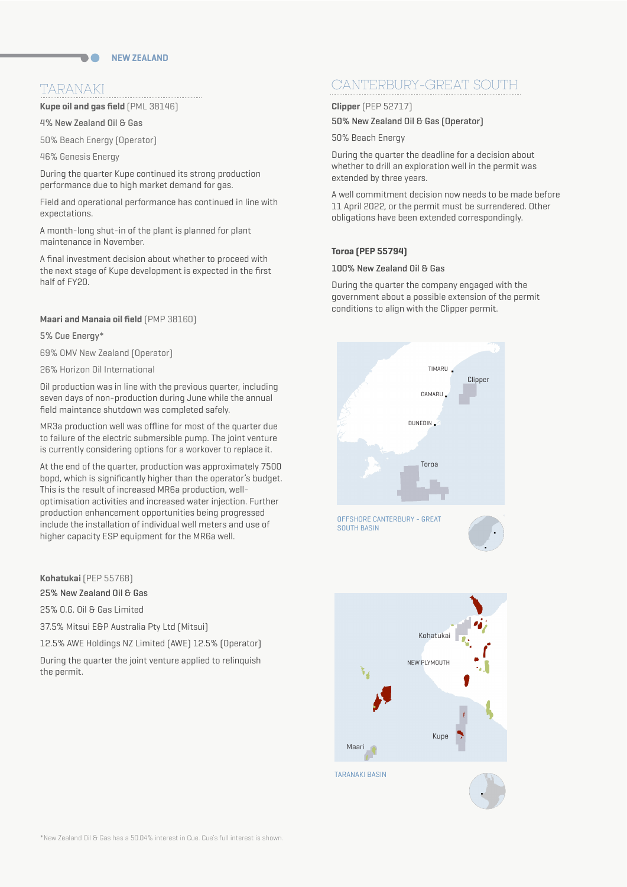## TARANAKI

**Kupe oil and gas field** (PML 38146)

4% New Zealand Oil & Gas

50% Beach Energy (Operator)

46% Genesis Energy

During the quarter Kupe continued its strong production performance due to high market demand for gas.

Field and operational performance has continued in line with expectations.

A month-long shut-in of the plant is planned for plant maintenance in November.

A final investment decision about whether to proceed with the next stage of Kupe development is expected in the first half of FY20.

#### **Maari and Manaia oil field** (PMP 38160)

5% Cue Energy\*

69% OMV New Zealand (Operator)

26% Horizon Oil International

Oil production was in line with the previous quarter, including seven days of non-production during June while the annual field maintance shutdown was completed safely.

MR3a production well was offline for most of the quarter due to failure of the electric submersible pump. The joint venture is currently considering options for a workover to replace it.

At the end of the quarter, production was approximately 7500 bopd, which is significantly higher than the operator's budget. This is the result of increased MR6a production, welloptimisation activities and increased water injection. Further production enhancement opportunities being progressed include the installation of individual well meters and use of higher capacity ESP equipment for the MR6a well.

#### **Kohatukai** (PEP 55768)

25% New Zealand Oil & Gas

25% O.G. Oil & Gas Limited

37.5% Mitsui E&P Australia Pty Ltd (Mitsui)

12.5% AWE Holdings NZ Limited (AWE) 12.5% (Operator)

During the quarter the joint venture applied to relinquish the permit.

# CANTERBURY-GREAT SOUTH

**Clipper** (PEP 52717) 50% New Zealand Oil & Gas (Operator)

50% Beach Energy

During the quarter the deadline for a decision about whether to drill an exploration well in the permit was extended by three years.

A well commitment decision now needs to be made before 11 April 2022, or the permit must be surrendered. Other obligations have been extended correspondingly.

#### **Toroa (PEP 55794)**

#### 100% New Zealand Oil & Gas

During the quarter the company engaged with the government about a possible extension of the permit conditions to align with the Clipper permit.



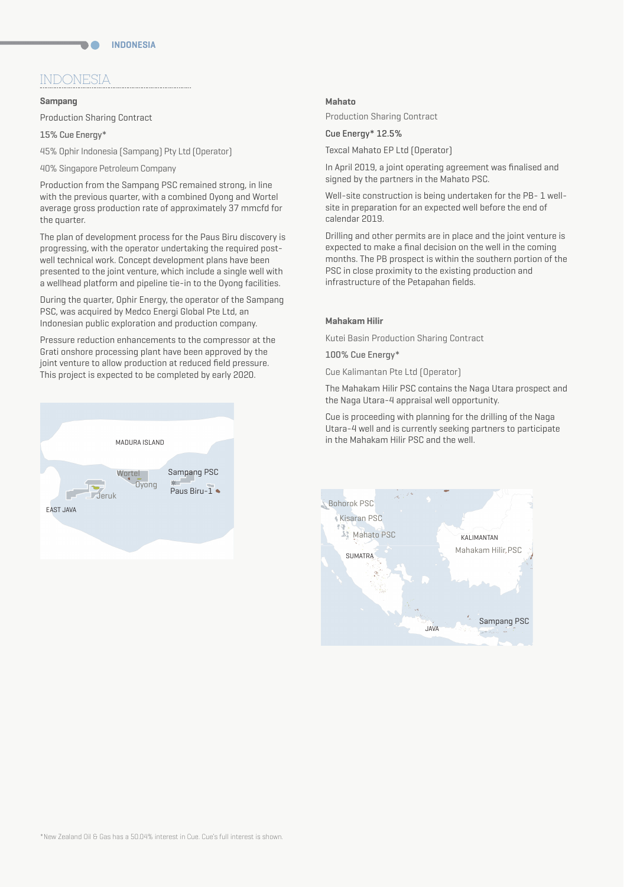## INDONESIA

#### **Sampang**

Production Sharing Contract

15% Cue Energy\*

45% Ophir Indonesia (Sampang) Pty Ltd (Operator)

40% Singapore Petroleum Company

Production from the Sampang PSC remained strong, in line with the previous quarter, with a combined Oyong and Wortel average gross production rate of approximately 37 mmcfd for the quarter.

The plan of development process for the Paus Biru discovery is progressing, with the operator undertaking the required postwell technical work. Concept development plans have been presented to the joint venture, which include a single well with a wellhead platform and pipeline tie-in to the Oyong facilities.

During the quarter, Ophir Energy, the operator of the Sampang PSC, was acquired by Medco Energi Global Pte Ltd, an Indonesian public exploration and production company.

Pressure reduction enhancements to the compressor at the Grati onshore processing plant have been approved by the joint venture to allow production at reduced field pressure. This project is expected to be completed by early 2020.



#### **Mahato**

Production Sharing Contract

Cue Energy\* 12.5%

Texcal Mahato EP Ltd (Operator)

In April 2019, a joint operating agreement was finalised and signed by the partners in the Mahato PSC.

Well-site construction is being undertaken for the PB- 1 wellsite in preparation for an expected well before the end of calendar 2019.

Drilling and other permits are in place and the joint venture is expected to make a final decision on the well in the coming months. The PB prospect is within the southern portion of the PSC in close proximity to the existing production and infrastructure of the Petapahan fields.

#### **Mahakam Hilir**

Kutei Basin Production Sharing Contract

100% Cue Energy\*

Cue Kalimantan Pte Ltd (Operator)

The Mahakam Hilir PSC contains the Naga Utara prospect and the Naga Utara-4 appraisal well opportunity.

Cue is proceeding with planning for the drilling of the Naga Utara-4 well and is currently seeking partners to participate in the Mahakam Hilir PSC and the well.